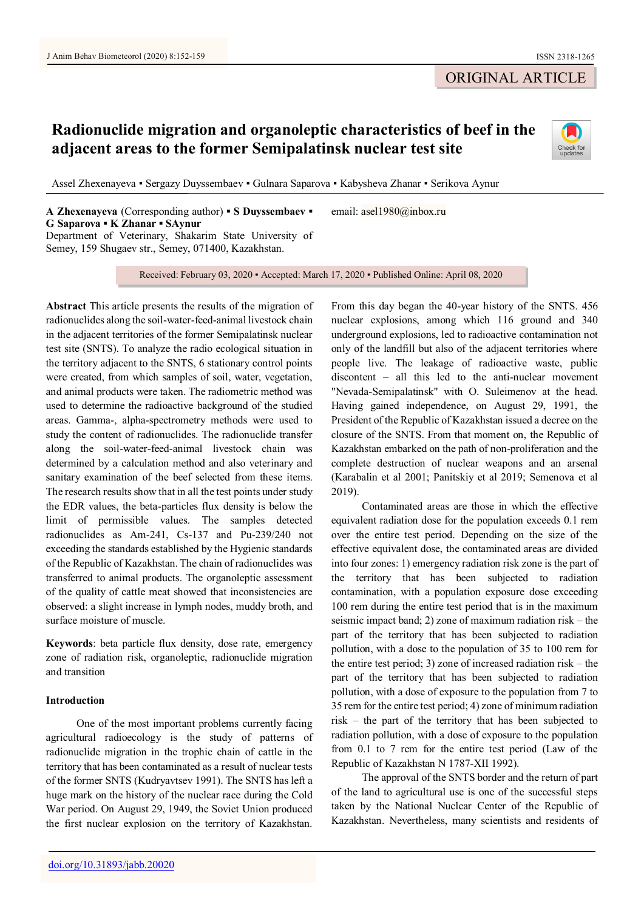# ORIGINAL ARTICLE

# **Radionuclide migration and organoleptic characteristics of beef in the adjacent areas to the former Semipalatinsk nuclear test site**



Assel Zhexenayeva ▪ Sergazy Duyssembaev ▪ Gulnara Saparova ▪ Kabysheva Zhanar ▪ Serikova Aynur

**A Zhexenayeva** (Corresponding author) **▪ S Duyssembaev ▪ G Saparova ▪ K Zhanar ▪ SAynur** Department of Veterinary, Shakarim State University of Semey, 159 Shugaev str., Semey, 071400, Kazakhstan.

Received: February 03, 2020 ▪ Accepted: March 17, 2020 ▪ Published Online: April 08, 2020

email: asel1980@inbox.ru

**Abstract** This article presents the results of the migration of radionuclides along the soil-water-feed-animal livestock chain in the adjacent territories of the former Semipalatinsk nuclear test site (SNTS). To analyze the radio ecological situation in the territory adjacent to the SNTS, 6 stationary control points were created, from which samples of soil, water, vegetation, and animal products were taken. The radiometric method was used to determine the radioactive background of the studied areas. Gamma-, alpha-spectrometry methods were used to study the content of radionuclides. The radionuclide transfer along the soil-water-feed-animal livestock chain was determined by a calculation method and also veterinary and sanitary examination of the beef selected from these items. The research results show that in all the test points under study the EDR values, the beta-particles flux density is below the limit of permissible values. The samples detected radionuclides as Am-241, Cs-137 and Pu-239/240 not exceeding the standards established by the Hygienic standards of the Republic of Kazakhstan. The chain of radionuclides was transferred to animal products. The organoleptic assessment of the quality of cattle meat showed that inconsistencies are observed: a slight increase in lymph nodes, muddy broth, and surface moisture of muscle.

**Keywords**: beta particle flux density, dose rate, emergency zone of radiation risk, organoleptic, radionuclide migration and transition

## **Introduction**

One of the most important problems currently facing agricultural radioecology is the study of patterns of radionuclide migration in the trophic chain of cattle in the territory that has been contaminated as a result of nuclear tests of the former SNTS (Kudryavtsev 1991). The SNTS has left a huge mark on the history of the nuclear race during the Cold War period. On August 29, 1949, the Soviet Union produced the first nuclear explosion on the territory of Kazakhstan.

From this day began the 40-year history of the SNTS. 456 nuclear explosions, among which 116 ground and 340 underground explosions, led to radioactive contamination not only of the landfill but also of the adjacent territories where people live. The leakage of radioactive waste, public discontent – all this led to the anti-nuclear movement "Nevada-Semipalatinsk" with O. Suleimenov at the head. Having gained independence, on August 29, 1991, the President of the Republic of Kazakhstan issued a decree on the closure of the SNTS. From that moment on, the Republic of Kazakhstan embarked on the path of non-proliferation and the complete destruction of nuclear weapons and an arsenal (Karabalin et al 2001; Panitskiy et al 2019; Semenova et al 2019).

Contaminated areas are those in which the effective equivalent radiation dose for the population exceeds 0.1 rem over the entire test period. Depending on the size of the effective equivalent dose, the contaminated areas are divided into four zones: 1) emergency radiation risk zone is the part of the territory that has been subjected to radiation contamination, with a population exposure dose exceeding 100 rem during the entire test period that is in the maximum seismic impact band; 2) zone of maximum radiation risk – the part of the territory that has been subjected to radiation pollution, with a dose to the population of 35 to 100 rem for the entire test period; 3) zone of increased radiation risk – the part of the territory that has been subjected to radiation pollution, with a dose of exposure to the population from 7 to 35 rem for the entire test period; 4) zone of minimum radiation risk – the part of the territory that has been subjected to radiation pollution, with a dose of exposure to the population from 0.1 to 7 rem for the entire test period (Law of the Republic of Kazakhstan N 1787-XII 1992).

The approval of the SNTS border and the return of part of the land to agricultural use is one of the successful steps taken by the National Nuclear Center of the Republic of Kazakhstan. Nevertheless, many scientists and residents of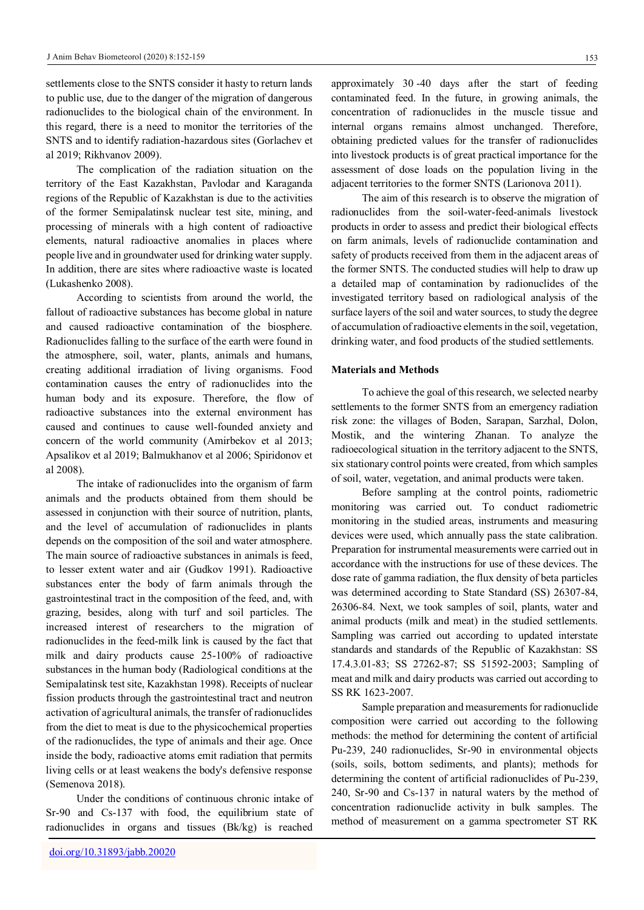settlements close to the SNTS consider it hasty to return lands to public use, due to the danger of the migration of dangerous radionuclides to the biological chain of the environment. In this regard, there is a need to monitor the territories of the SNTS and to identify radiation-hazardous sites (Gorlachev et al 2019; Rikhvanov 2009).

The complication of the radiation situation on the territory of the East Kazakhstan, Pavlodar and Karaganda regions of the Republic of Kazakhstan is due to the activities of the former Semipalatinsk nuclear test site, mining, and processing of minerals with a high content of radioactive elements, natural radioactive anomalies in places where people live and in groundwater used for drinking water supply. In addition, there are sites where radioactive waste is located (Lukashenko 2008).

According to scientists from around the world, the fallout of radioactive substances has become global in nature and caused radioactive contamination of the biosphere. Radionuclides falling to the surface of the earth were found in the atmosphere, soil, water, plants, animals and humans, creating additional irradiation of living organisms. Food contamination causes the entry of radionuclides into the human body and its exposure. Therefore, the flow of radioactive substances into the external environment has caused and continues to cause well-founded anxiety and concern of the world community (Amirbekov et al 2013; Apsalikov et al 2019; Balmukhanov et al 2006; Spiridonov et al 2008).

The intake of radionuclides into the organism of farm animals and the products obtained from them should be assessed in conjunction with their source of nutrition, plants, and the level of accumulation of radionuclides in plants depends on the composition of the soil and water atmosphere. The main source of radioactive substances in animals is feed, to lesser extent water and air (Gudkov 1991). Radioactive substances enter the body of farm animals through the gastrointestinal tract in the composition of the feed, and, with grazing, besides, along with turf and soil particles. The increased interest of researchers to the migration of radionuclides in the feed-milk link is caused by the fact that milk and dairy products cause 25-100% of radioactive substances in the human body (Radiological conditions at the Semipalatinsk test site, Kazakhstan 1998). Receipts of nuclear fission products through the gastrointestinal tract and neutron activation of agricultural animals, the transfer of radionuclides from the diet to meat is due to the physicochemical properties of the radionuclides, the type of animals and their age. Once inside the body, radioactive atoms emit radiation that permits living cells or at least weakens the body's defensive response (Semenova 2018).

Under the conditions of continuous chronic intake of Sr-90 and Cs-137 with food, the equilibrium state of radionuclides in organs and tissues (Bk/kg) is reached

approximately 30 -40 days after the start of feeding contaminated feed. In the future, in growing animals, the concentration of radionuclides in the muscle tissue and internal organs remains almost unchanged. Therefore, obtaining predicted values for the transfer of radionuclides into livestock products is of great practical importance for the assessment of dose loads on the population living in the adjacent territories to the former SNTS (Larionova 2011).

The aim of this research is to observe the migration of radionuclides from the soil-water-feed-animals livestock products in order to assess and predict their biological effects on farm animals, levels of radionuclide contamination and safety of products received from them in the adjacent areas of the former SNTS. The conducted studies will help to draw up a detailed map of contamination by radionuclides of the investigated territory based on radiological analysis of the surface layers of the soil and water sources, to study the degree of accumulation of radioactive elements in the soil, vegetation, drinking water, and food products of the studied settlements.

#### **Materials and Methods**

To achieve the goal of this research, we selected nearby settlements to the former SNTS from an emergency radiation risk zone: the villages of Boden, Sarapan, Sarzhal, Dolon, Mostik, and the wintering Zhanan. To analyze the radioecological situation in the territory adjacent to the SNTS, six stationary control points were created, from which samples of soil, water, vegetation, and animal products were taken.

Before sampling at the control points, radiometric monitoring was carried out. To conduct radiometric monitoring in the studied areas, instruments and measuring devices were used, which annually pass the state calibration. Preparation for instrumental measurements were carried out in accordance with the instructions for use of these devices. The dose rate of gamma radiation, the flux density of beta particles was determined according to State Standard (SS) 26307-84, 26306-84. Next, we took samples of soil, plants, water and animal products (milk and meat) in the studied settlements. Sampling was carried out according to updated interstate standards and standards of the Republic of Kazakhstan: SS 17.4.3.01-83; SS 27262-87; SS 51592-2003; Sampling of meat and milk and dairy products was carried out according to SS RK 1623-2007.

Sample preparation and measurements for radionuclide composition were carried out according to the following methods: the method for determining the content of artificial Pu-239, 240 radionuclides, Sr-90 in environmental objects (soils, soils, bottom sediments, and plants); methods for determining the content of artificial radionuclides of Pu-239, 240, Sr-90 and Cs-137 in natural waters by the method of concentration radionuclide activity in bulk samples. The method of measurement on a gamma spectrometer ST RK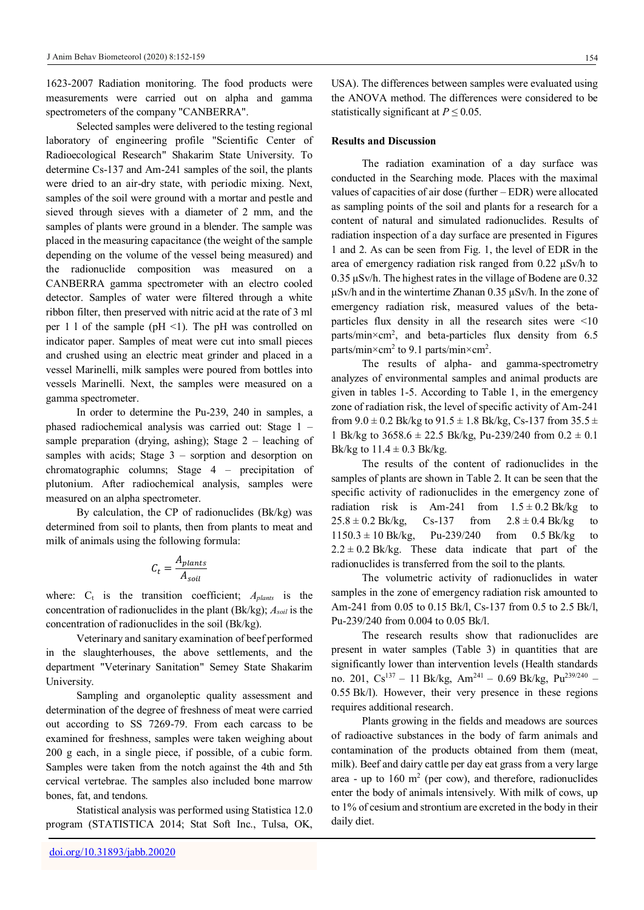1623-2007 Radiation monitoring. The food products were measurements were carried out on alpha and gamma spectrometers of the company "CANBERRA".

Selected samples were delivered to the testing regional laboratory of engineering profile "Scientific Center of Radioecological Research" Shakarim State University. To determine Cs-137 and Am-241 samples of the soil, the plants were dried to an air-dry state, with periodic mixing. Next, samples of the soil were ground with a mortar and pestle and sieved through sieves with a diameter of 2 mm, and the samples of plants were ground in a blender. The sample was placed in the measuring capacitance (the weight of the sample depending on the volume of the vessel being measured) and the radionuclide composition was measured on a CANBERRA gamma spectrometer with an electro cooled detector. Samples of water were filtered through a white ribbon filter, then preserved with nitric acid at the rate of 3 ml per 1 l of the sample ( $pH \le 1$ ). The  $pH$  was controlled on indicator paper. Samples of meat were cut into small pieces and crushed using an electric meat grinder and placed in a vessel Marinelli, milk samples were poured from bottles into vessels Marinelli. Next, the samples were measured on a gamma spectrometer.

In order to determine the Pu-239, 240 in samples, a phased radiochemical analysis was carried out: Stage 1 – sample preparation (drying, ashing); Stage 2 – leaching of samples with acids; Stage 3 – sorption and desorption on chromatographic columns; Stage 4 – precipitation of plutonium. After radiochemical analysis, samples were measured on an alpha spectrometer.

By calculation, the CP of radionuclides (Bk/kg) was determined from soil to plants, then from plants to meat and milk of animals using the following formula:

$$
C_t = \frac{A_{plants}}{A_{soil}}
$$

where:  $C_t$  is the transition coefficient;  $A_{\text{plants}}$  is the concentration of radionuclides in the plant (Bk/kg); *Asoil* is the concentration of radionuclides in the soil (Bk/kg).

Veterinary and sanitary examination of beef performed in the slaughterhouses, the above settlements, and the department "Veterinary Sanitation" Semey State Shakarim University.

Sampling and organoleptic quality assessment and determination of the degree of freshness of meat were carried out according to SS 7269-79. From each carcass to be examined for freshness, samples were taken weighing about 200 g each, in a single piece, if possible, of a cubic form. Samples were taken from the notch against the 4th and 5th cervical vertebrae. The samples also included bone marrow bones, fat, and tendons.

Statistical analysis was performed using Statistica 12.0 program (STATISTICA 2014; Stat Soft Inc., Tulsa, OK,

USA). The differences between samples were evaluated using the ANOVA method. The differences were considered to be statistically significant at  $P \leq 0.05$ .

## **Results and Discussion**

The radiation examination of a day surface was conducted in the Searching mode. Places with the maximal values of capacities of air dose (further – EDR) were allocated as sampling points of the soil and plants for a research for a content of natural and simulated radionuclides. Results of radiation inspection of a day surface are presented in Figures 1 and 2. As can be seen from Fig. 1, the level of EDR in the area of emergency radiation risk ranged from 0.22 μSv/h to 0.35 μSv/h. The highest rates in the village of Bodene are 0.32 μSv/h and in the wintertime Zhanan 0.35 μSv/h. In the zone of emergency radiation risk, measured values of the betaparticles flux density in all the research sites were <10 parts/min×cm<sup>2</sup> , and beta-particles flux density from 6.5 parts/min $\times$ cm<sup>2</sup> to 9.1 parts/min $\times$ cm<sup>2</sup>.

The results of alpha- and gamma-spectrometry analyzes of environmental samples and animal products are given in tables 1-5. According to Table 1, in the emergency zone of radiation risk, the level of specific activity of Am-241 from  $9.0 \pm 0.2$  Bk/kg to  $91.5 \pm 1.8$  Bk/kg, Cs-137 from  $35.5 \pm 1.8$ 1 Bk/kg to  $3658.6 \pm 22.5$  Bk/kg, Pu-239/240 from  $0.2 \pm 0.1$ Bk/kg to  $11.4 \pm 0.3$  Bk/kg.

The results of the content of radionuclides in the samples of plants are shown in Table 2. It can be seen that the specific activity of radionuclides in the emergency zone of radiation risk is Am-241 from  $1.5 \pm 0.2$  Bk/kg to  $25.8 \pm 0.2$  Bk/kg, Cs-137 from  $2.8 \pm 0.4$  Bk/kg to  $1150.3 \pm 10$  Bk/kg, Pu-239/240 from 0.5 Bk/kg to  $2.2 \pm 0.2$  Bk/kg. These data indicate that part of the radionuclides is transferred from the soil to the plants.

The volumetric activity of radionuclides in water samples in the zone of emergency radiation risk amounted to Am-241 from 0.05 to 0.15 Bk/l, Cs-137 from 0.5 to 2.5 Bk/l, Pu-239/240 from 0.004 to 0.05 Bk/l.

The research results show that radionuclides are present in water samples (Table 3) in quantities that are significantly lower than intervention levels (Health standards no. 201, Cs<sup>137</sup> - 11 Bk/kg, Am<sup>241</sup> - 0.69 Bk/kg, Pu<sup>239/240</sup> -0.55 Bk/l). However, their very presence in these regions requires additional research.

Plants growing in the fields and meadows are sources of radioactive substances in the body of farm animals and contamination of the products obtained from them (meat, milk). Beef and dairy cattle per day eat grass from a very large area - up to  $160 \text{ m}^2$  (per cow), and therefore, radionuclides enter the body of animals intensively. With milk of cows, up to 1% of cesium and strontium are excreted in the body in their daily diet.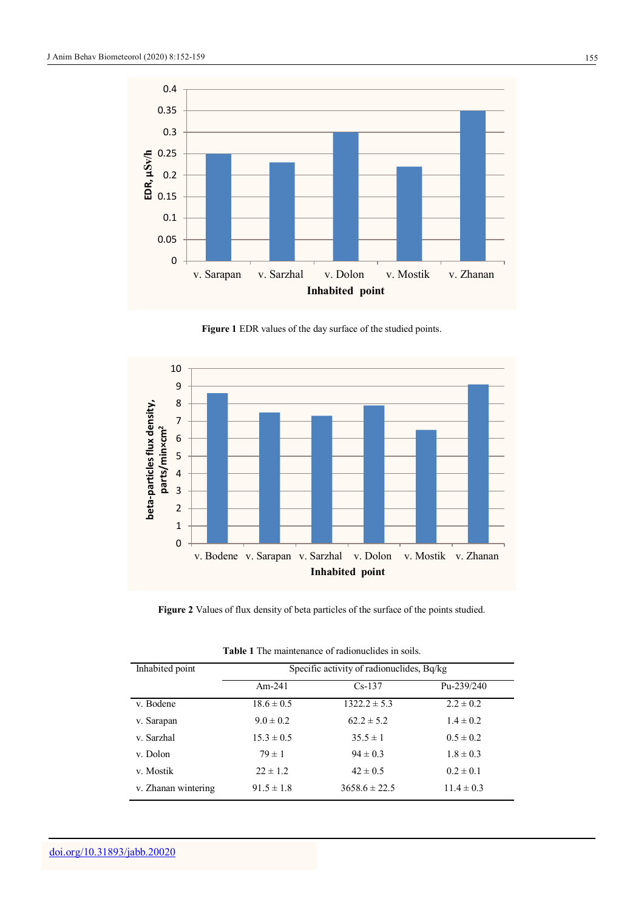

**Figure 1** EDR values of the day surface of the studied points.



Figure 2 Values of flux density of beta particles of the surface of the points studied.

| Inhabited point     | Specific activity of radionuclides, Bq/kg |                   |                |
|---------------------|-------------------------------------------|-------------------|----------------|
|                     | Am- $241$                                 | $Cs-137$          | Pu-239/240     |
| v. Bodene           | $18.6 \pm 0.5$                            | $1322.2 \pm 5.3$  | $2.2 \pm 0.2$  |
| v. Sarapan          | $9.0 \pm 0.2$                             | $62.2 \pm 5.2$    | $1.4 \pm 0.2$  |
| v. Sarzhal          | $15.3 \pm 0.5$                            | $35.5 \pm 1$      | $0.5 \pm 0.2$  |
| v. Dolon            | $79 \pm 1$                                | $94 \pm 0.3$      | $1.8 \pm 0.3$  |
| v. Mostik           | $22 \pm 1.2$                              | $42 \pm 0.5$      | $0.2 \pm 0.1$  |
| v. Zhanan wintering | $91.5 \pm 1.8$                            | $3658.6 \pm 22.5$ | $11.4 \pm 0.3$ |

**Table 1** The maintenance of radionuclides in soils.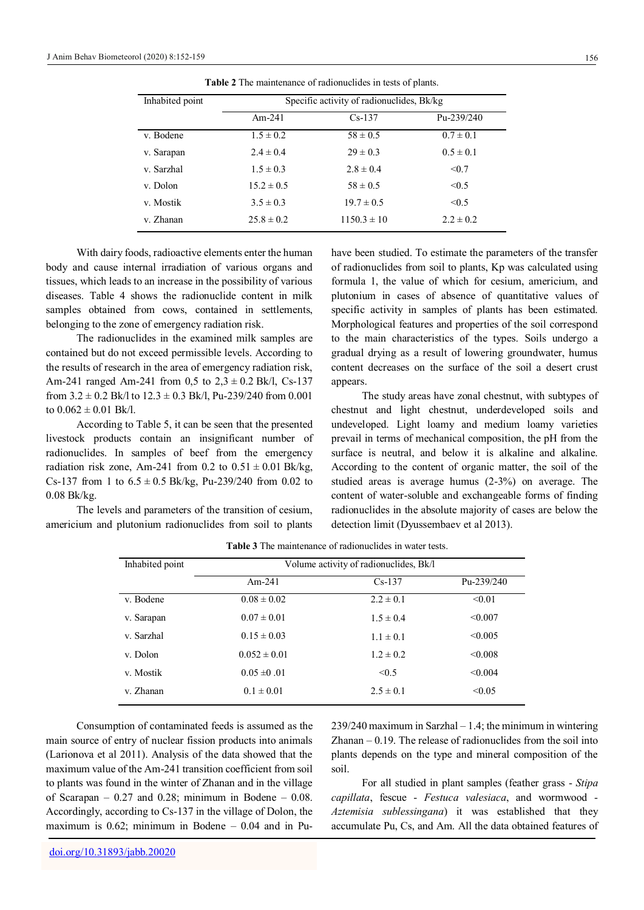| v. Dolon                                                                                                                                                                                                                                            | $15.2 \pm 0.5$                                         | $58 \pm 0.5$                                                                                                                                                                    | < 0.5         |
|-----------------------------------------------------------------------------------------------------------------------------------------------------------------------------------------------------------------------------------------------------|--------------------------------------------------------|---------------------------------------------------------------------------------------------------------------------------------------------------------------------------------|---------------|
| v. Mostik                                                                                                                                                                                                                                           | $3.5 \pm 0.3$                                          | $19.7 \pm 0.5$                                                                                                                                                                  | < 0.5         |
| v. Zhanan                                                                                                                                                                                                                                           | $25.8 \pm 0.2$                                         | $1150.3 \pm 10$                                                                                                                                                                 | $2.2 \pm 0.2$ |
| body and cause internal irradiation of various organs and<br>tissues, which leads to an increase in the possibility of various<br>diseases. Table 4 shows the radionuclide content in milk<br>samples obtained from cows, contained in settlements, | With dairy foods, radioactive elements enter the human | have been studied. To estimate the<br>of radionuclides from soil to plan<br>formula 1, the value of which f<br>plutonium in cases of absence<br>specific activity in samples of |               |
| belonging to the zone of emergency radiation risk.                                                                                                                                                                                                  |                                                        | Morphological features and prope                                                                                                                                                |               |

**Table 2** The maintenance of radionuclides in tests of plants.

v. Bodene  $1.5 \pm 0.2$   $58 \pm 0.5$   $0.7 \pm 0.1$ v. Sarapan  $2.4 \pm 0.4$   $29 \pm 0.3$   $0.5 \pm 0.1$ v. Sarzhal  $1.5 \pm 0.3$   $2.8 \pm 0.4$   $\leq 0.7$ 

Am-241 Cs-137 Pu-239/240

Inhabited point Specific activity of radionuclides, Bk/kg

The radionuclides in the examined milk samples are contained but do not exceed permissible levels. According to the results of research in the area of emergency radiation risk, Am-241 ranged Am-241 from 0,5 to  $2.3 \pm 0.2$  Bk/l, Cs-137 from  $3.2 \pm 0.2$  Bk/l to  $12.3 \pm 0.3$  Bk/l, Pu-239/240 from 0.001 to 0.062  $\pm$  0.01 Bk/l.

According to Table 5, it can be seen that the presented livestock products contain an insignificant number of radionuclides. In samples of beef from the emergency radiation risk zone, Am-241 from 0.2 to  $0.51 \pm 0.01$  Bk/kg, Cs-137 from 1 to  $6.5 \pm 0.5$  Bk/kg, Pu-239/240 from 0.02 to 0.08 Bk/kg.

The levels and parameters of the transition of cesium, americium and plutonium radionuclides from soil to plants

ate the parameters of the transfer plants, Kp was calculated using ich for cesium, americium, and ence of quantitative values of of plants has been estimated. properties of the soil correspond to the main characteristics of the types. Soils undergo a gradual drying as a result of lowering groundwater, humus content decreases on the surface of the soil a desert crust appears.

The study areas have zonal chestnut, with subtypes of chestnut and light chestnut, underdeveloped soils and undeveloped. Light loamy and medium loamy varieties prevail in terms of mechanical composition, the pH from the surface is neutral, and below it is alkaline and alkaline. According to the content of organic matter, the soil of the studied areas is average humus (2-3%) on average. The content of water-soluble and exchangeable forms of finding radionuclides in the absolute majority of cases are below the detection limit (Dyussembaev et al 2013).

|                  | Volume activity of radionuclides, Bk/l |            |  |
|------------------|----------------------------------------|------------|--|
| $Am-241$         | $Cs-137$                               | Pu-239/240 |  |
| $0.08 \pm 0.02$  | $2.2 \pm 0.1$                          | < 0.01     |  |
| $0.07 \pm 0.01$  | $1.5 \pm 0.4$                          | < 0.007    |  |
| $0.15 \pm 0.03$  | $1.1 \pm 0.1$                          | < 0.005    |  |
| $0.052 \pm 0.01$ | $1.2 \pm 0.2$                          | < 0.008    |  |
| $0.05 \pm 0.01$  | < 0.5                                  | < 0.004    |  |
| $0.1 \pm 0.01$   | $2.5 \pm 0.1$                          | < 0.05     |  |
|                  |                                        |            |  |

**Table 3** The maintenance of radionuclides in water tests.

Consumption of contaminated feeds is assumed as the main source of entry of nuclear fission products into animals (Larionova et al 2011). Analysis of the data showed that the maximum value of the Am-241 transition coefficient from soil to plants was found in the winter of Zhanan and in the village of Scarapan –  $0.27$  and  $0.28$ ; minimum in Bodene –  $0.08$ . Accordingly, according to Cs-137 in the village of Dolon, the maximum is 0.62; minimum in Bodene – 0.04 and in Pu239/240 maximum in Sarzhal – 1.4; the minimum in wintering Zhanan  $-0.19$ . The release of radionuclides from the soil into plants depends on the type and mineral composition of the soil.

For all studied in plant samples (feather grass - *Stipa capillata*, fescue - *Festuca valesiaca*, and wormwood - *Aztemisia sublessingana*) it was established that they accumulate Pu, Cs, and Am. All the data obtained features of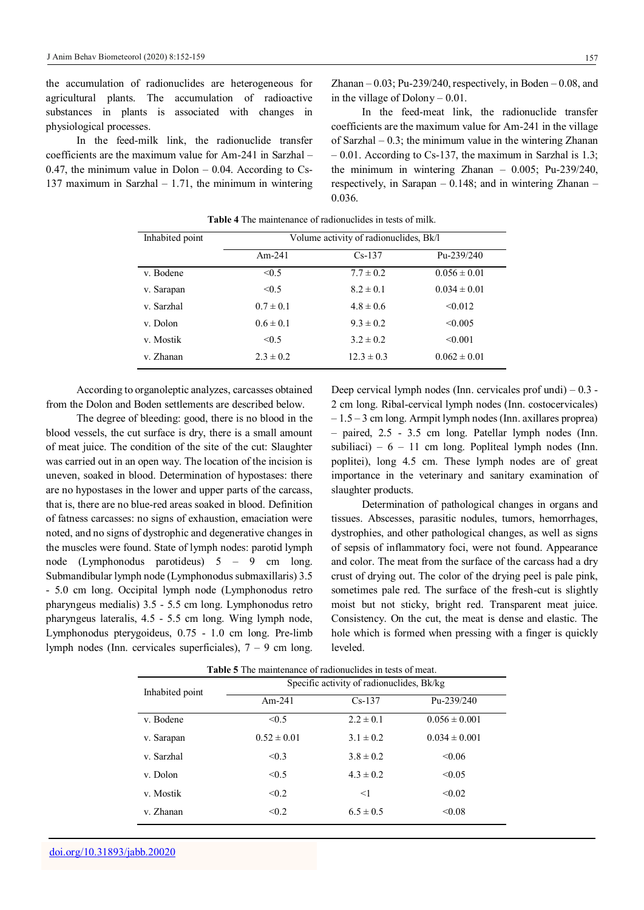the accumulation of radionuclides are heterogeneous for agricultural plants. The accumulation of radioactive substances in plants is associated with changes in physiological processes.

In the feed-milk link, the radionuclide transfer coefficients are the maximum value for Am-241 in Sarzhal – 0.47, the minimum value in Dolon  $-$  0.04. According to Cs-137 maximum in Sarzhal – 1.71, the minimum in wintering Zhanan  $-0.03$ ; Pu-239/240, respectively, in Boden  $-0.08$ , and in the village of Dolony – 0.01.

In the feed-meat link, the radionuclide transfer coefficients are the maximum value for Am-241 in the village of Sarzhal – 0.3; the minimum value in the wintering Zhanan – 0.01. According to Cs-137, the maximum in Sarzhal is 1.3; the minimum in wintering Zhanan – 0.005; Pu-239/240, respectively, in Sarapan – 0.148; and in wintering Zhanan – 0.036.

| Inhabited point | Volume activity of radionuclides, Bk/l |                |                  |
|-----------------|----------------------------------------|----------------|------------------|
|                 | Am-241                                 | $Cs-137$       | Pu-239/240       |
| v. Bodene       | $\leq 0.5$                             | $7.7 \pm 0.2$  | $0.056 \pm 0.01$ |
| v. Sarapan      | < 0.5                                  | $8.2 \pm 0.1$  | $0.034 \pm 0.01$ |
| v. Sarzhal      | $0.7 \pm 0.1$                          | $4.8 \pm 0.6$  | < 0.012          |
| v. Dolon        | $0.6 \pm 0.1$                          | $9.3 \pm 0.2$  | < 0.005          |
| v. Mostik       | < 0.5                                  | $3.2 \pm 0.2$  | < 0.001          |
| y Zhanan        | $2.3 \pm 0.2$                          | $12.3 \pm 0.3$ | $0.062 \pm 0.01$ |

**Table 4** The maintenance of radionuclides in tests of milk.

According to organoleptic analyzes, carcasses obtained from the Dolon and Boden settlements are described below.

The degree of bleeding: good, there is no blood in the blood vessels, the cut surface is dry, there is a small amount of meat juice. The condition of the site of the cut: Slaughter was carried out in an open way. The location of the incision is uneven, soaked in blood. Determination of hypostases: there are no hypostases in the lower and upper parts of the carcass, that is, there are no blue-red areas soaked in blood. Definition of fatness carcasses: no signs of exhaustion, emaciation were noted, and no signs of dystrophic and degenerative changes in the muscles were found. State of lymph nodes: parotid lymph node (Lymphonodus parotideus) 5 – 9 cm long. Submandibular lymph node (Lymphonodus submaxillaris) 3.5 - 5.0 cm long. Occipital lymph node (Lymphonodus retro pharyngeus medialis) 3.5 - 5.5 cm long. Lymphonodus retro pharyngeus lateralis, 4.5 - 5.5 cm long. Wing lymph node, Lymphonodus pterygoideus, 0.75 - 1.0 cm long. Pre-limb lymph nodes (Inn. cervicales superficiales), 7 – 9 cm long.

Deep cervical lymph nodes (Inn. cervicales prof undi) – 0.3 - 2 cm long. Ribal-cervical lymph nodes (Inn. costocervicales) – 1.5 – 3 cm long. Armpit lymph nodes (Inn. axillares proprea) – paired, 2.5 - 3.5 cm long. Patellar lymph nodes (Inn. subiliaci) –  $6 - 11$  cm long. Popliteal lymph nodes (Inn. poplitei), long 4.5 cm. These lymph nodes are of great importance in the veterinary and sanitary examination of slaughter products.

Determination of pathological changes in organs and tissues. Abscesses, parasitic nodules, tumors, hemorrhages, dystrophies, and other pathological changes, as well as signs of sepsis of inflammatory foci, were not found. Appearance and color. The meat from the surface of the carcass had a dry crust of drying out. The color of the drying peel is pale pink, sometimes pale red. The surface of the fresh-cut is slightly moist but not sticky, bright red. Transparent meat juice. Consistency. On the cut, the meat is dense and elastic. The hole which is formed when pressing with a finger is quickly leveled.

|                 | <b>Table</b> 5 The mannemance of facilonucities in lests of meat.<br>Specific activity of radionuclides, Bk/kg |               |                   |
|-----------------|----------------------------------------------------------------------------------------------------------------|---------------|-------------------|
| Inhabited point | $Am-241$                                                                                                       | $Cs-137$      | Pu-239/240        |
| v. Bodene       | < 0.5                                                                                                          | $2.2 \pm 0.1$ | $0.056 \pm 0.001$ |
| v. Sarapan      | $0.52 \pm 0.01$                                                                                                | $3.1 \pm 0.2$ | $0.034 \pm 0.001$ |
| v. Sarzhal      | < 0.3                                                                                                          | $3.8 \pm 0.2$ | < 0.06            |
| v. Dolon        | < 0.5                                                                                                          | $4.3 \pm 0.2$ | < 0.05            |
| v. Mostik       | < 0.2                                                                                                          | <1            | < 0.02            |
| v. Zhanan       | < 0.2                                                                                                          | $6.5 \pm 0.5$ | < 0.08            |

**Table 5** The maintenance of radionuclides in tests of meat.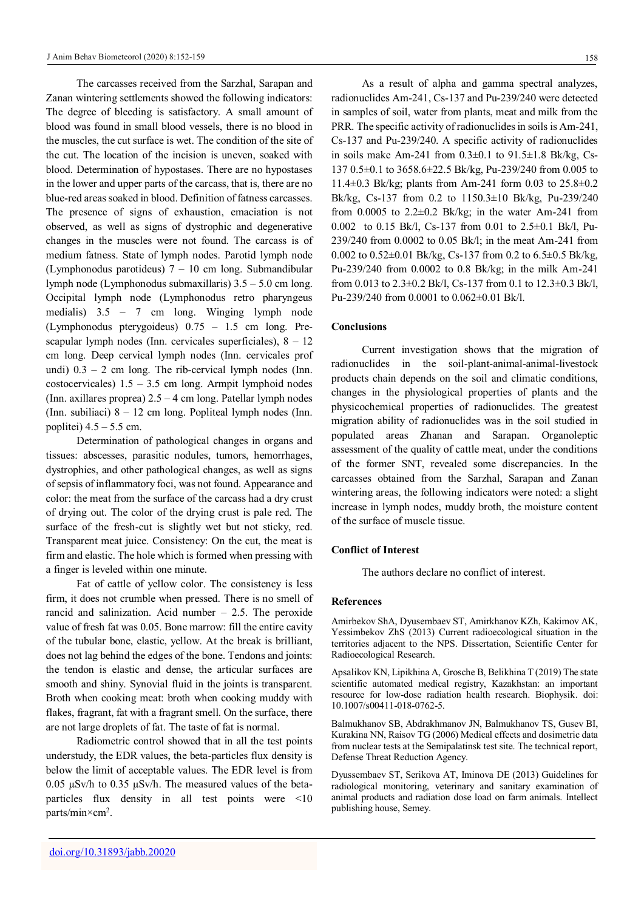The carcasses received from the Sarzhal, Sarapan and Zanan wintering settlements showed the following indicators: The degree of bleeding is satisfactory. A small amount of blood was found in small blood vessels, there is no blood in the muscles, the cut surface is wet. The condition of the site of the cut. The location of the incision is uneven, soaked with blood. Determination of hypostases. There are no hypostases in the lower and upper parts of the carcass, that is, there are no blue-red areas soaked in blood. Definition of fatness carcasses. The presence of signs of exhaustion, emaciation is not observed, as well as signs of dystrophic and degenerative changes in the muscles were not found. The carcass is of medium fatness. State of lymph nodes. Parotid lymph node (Lymphonodus parotideus) 7 – 10 cm long. Submandibular lymph node (Lymphonodus submaxillaris) 3.5 – 5.0 cm long. Occipital lymph node (Lymphonodus retro pharyngeus medialis) 3.5 – 7 cm long. Winging lymph node (Lymphonodus pterygoideus) 0.75 – 1.5 cm long. Prescapular lymph nodes (Inn. cervicales superficiales),  $8 - 12$ cm long. Deep cervical lymph nodes (Inn. cervicales prof undi)  $0.3 - 2$  cm long. The rib-cervical lymph nodes (Inn. costocervicales) 1.5 – 3.5 cm long. Armpit lymphoid nodes (Inn. axillares proprea) 2.5 – 4 cm long. Patellar lymph nodes (Inn. subiliaci) 8 – 12 cm long. Popliteal lymph nodes (Inn. poplitei)  $4.5 - 5.5$  cm.

Determination of pathological changes in organs and tissues: abscesses, parasitic nodules, tumors, hemorrhages, dystrophies, and other pathological changes, as well as signs of sepsis of inflammatory foci, was not found. Appearance and color: the meat from the surface of the carcass had a dry crust of drying out. The color of the drying crust is pale red. The surface of the fresh-cut is slightly wet but not sticky, red. Transparent meat juice. Consistency: On the cut, the meat is firm and elastic. The hole which is formed when pressing with a finger is leveled within one minute.

Fat of cattle of yellow color. The consistency is less firm, it does not crumble when pressed. There is no smell of rancid and salinization. Acid number – 2.5. The peroxide value of fresh fat was 0.05. Bone marrow: fill the entire cavity of the tubular bone, elastic, yellow. At the break is brilliant, does not lag behind the edges of the bone. Tendons and joints: the tendon is elastic and dense, the articular surfaces are smooth and shiny. Synovial fluid in the joints is transparent. Broth when cooking meat: broth when cooking muddy with flakes, fragrant, fat with a fragrant smell. On the surface, there are not large droplets of fat. The taste of fat is normal.

Radiometric control showed that in all the test points understudy, the EDR values, the beta-particles flux density is below the limit of acceptable values. The EDR level is from 0.05 µSv/h to 0.35 µSv/h. The measured values оf the betaparticles flux density in all test points were <10 parts/min×cm<sup>2</sup> .

As a result of alpha and gamma spectral analyzes, radionuclides Am-241, Cs-137 and Pu-239/240 were detected in samples of soil, water from plants, meat and milk from the PRR. The specific activity of radionuclides in soils is Am-241, Cs-137 and Pu-239/240. A specific activity of radionuclides in soils make Am-241 from  $0.3\pm0.1$  to  $91.5\pm1.8$  Bk/kg, Cs-137 0.5±0.1 to 3658.6±22.5 Bk/kg, Pu-239/240 from 0.005 to 11.4±0.3 Bk/kg; plants from Am-241 form 0.03 to 25.8±0.2 Bk/kg, Cs-137 from 0.2 to 1150.3±10 Bk/kg, Pu-239/240 from  $0.0005$  to  $2.2\pm0.2$  Bk/kg; in the water Am-241 from 0.002 to 0.15 Bk/l, Cs-137 from 0.01 to 2.5±0.1 Bk/l, Pu-239/240 from 0.0002 to 0.05 Bk/l; in the meat Am-241 from 0.002 to 0.52±0.01 Bk/kg, Cs-137 from 0.2 to 6.5±0.5 Bk/kg, Pu-239/240 from 0.0002 to 0.8 Bk/kg; in the milk Am-241 from 0.013 to 2.3±0.2 Bk/l, Cs-137 from 0.1 to 12.3±0.3 Bk/l, Pu-239/240 from 0.0001 to 0.062±0.01 Bk/l.

#### **Conclusions**

Current investigation shows that the migration of radionuclides in the soil-plant-animal-animal-livestock products chain depends on the soil and climatic conditions, changes in the physiological properties of plants and the physicochemical properties of radionuclides. The greatest migration ability of radionuclides was in the soil studied in populated areas Zhanan and Sarapan. Organoleptic assessment of the quality of cattle meat, under the conditions of the former SNT, revealed some discrepancies. In the carcasses obtained from the Sarzhal, Sarapan and Zanan wintering areas, the following indicators were noted: a slight increase in lymph nodes, muddy broth, the moisture content of the surface of muscle tissue.

#### **Conflict of Interest**

The authors declare no conflict of interest.

#### **References**

Amirbekov ShA, Dyusembaev ST, Amirkhanov KZh, Kakimov AK, Yessimbekov ZhS (2013) Current radioecological situation in the territories adjacent to the NPS. Dissertation, Scientific Center for Radioecological Research.

Apsalikov KN, Lipikhina A, Grosche B, Belikhina T (2019) The state scientific automated medical registry, Kazakhstan: an important resource for low-dose radiation health research. Biophysik. doi: 10.1007/s00411-018-0762-5.

Balmukhanov SB, Abdrakhmanov JN, Balmukhanov TS, Gusev BI, Kurakina NN, Raisov TG (2006) Medical effects and dosimetric data from nuclear tests at the Semipalatinsk test site. The technical report, Defense Threat Reduction Agency.

Dyussembaev ST, Serikova AT, Iminova DE (2013) Guidelines for radiological monitoring, veterinary and sanitary examination of animal products and radiation dose load on farm animals. Intellect publishing house, Semey.